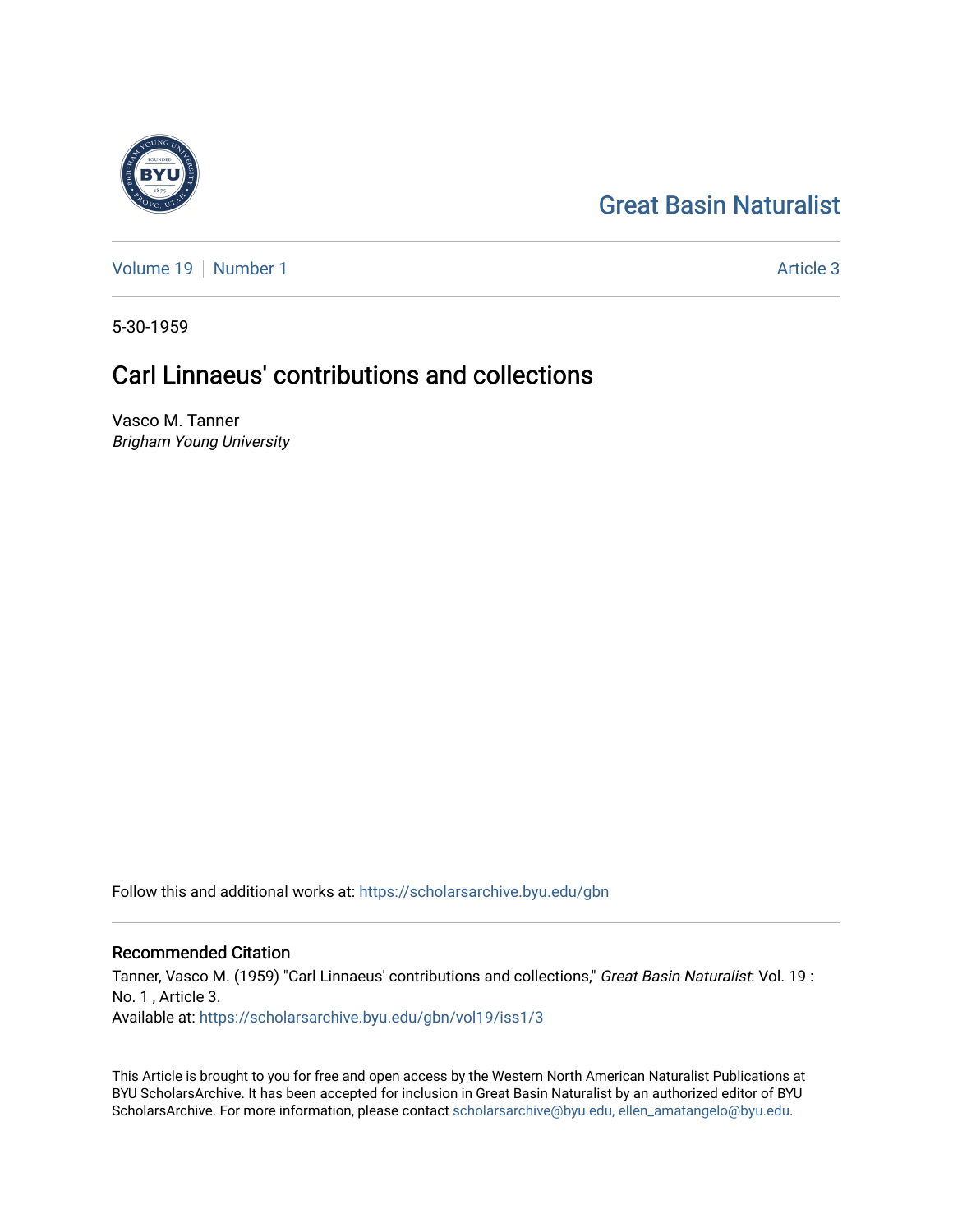# [Great Basin Naturalist](https://scholarsarchive.byu.edu/gbn)

[Volume 19](https://scholarsarchive.byu.edu/gbn/vol19) [Number 1](https://scholarsarchive.byu.edu/gbn/vol19/iss1) Article 3

5-30-1959

# Carl Linnaeus' contributions and collections

Vasco M. Tanner Brigham Young University

Follow this and additional works at: [https://scholarsarchive.byu.edu/gbn](https://scholarsarchive.byu.edu/gbn?utm_source=scholarsarchive.byu.edu%2Fgbn%2Fvol19%2Fiss1%2F3&utm_medium=PDF&utm_campaign=PDFCoverPages) 

# Recommended Citation

Tanner, Vasco M. (1959) "Carl Linnaeus' contributions and collections," Great Basin Naturalist: Vol. 19 : No. 1 , Article 3. Available at: [https://scholarsarchive.byu.edu/gbn/vol19/iss1/3](https://scholarsarchive.byu.edu/gbn/vol19/iss1/3?utm_source=scholarsarchive.byu.edu%2Fgbn%2Fvol19%2Fiss1%2F3&utm_medium=PDF&utm_campaign=PDFCoverPages)

This Article is brought to you for free and open access by the Western North American Naturalist Publications at BYU ScholarsArchive. It has been accepted for inclusion in Great Basin Naturalist by an authorized editor of BYU ScholarsArchive. For more information, please contact [scholarsarchive@byu.edu, ellen\\_amatangelo@byu.edu.](mailto:scholarsarchive@byu.edu,%20ellen_amatangelo@byu.edu)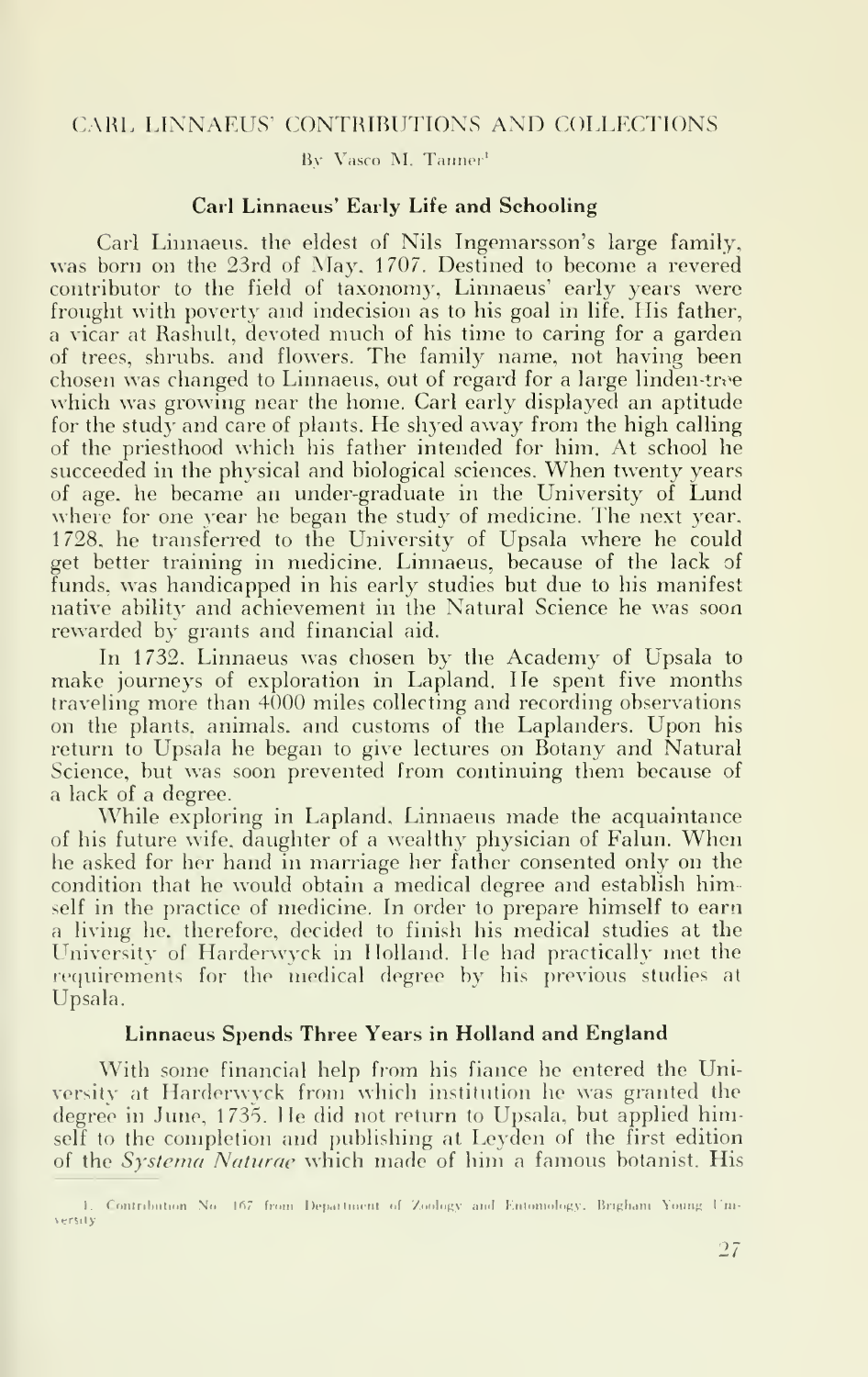# CARL LINNAEUS' CONTRIBUTIONS AND COLLF.CTIONS

By Vasco M, Tanner<sup>1</sup>

#### Carl Linnaeus' Early Life and Schooling

Carl Linnaeus, the eldest of Nils Ingemarsson's large family, was born on the 23rd of May. 1707. Destined to become a revered contributor to the field of taxonomy, Linnaeus' early years were frought with poverty and indecision as to his goal in life. His father, <sup>a</sup> vicar at Rashult, devoted much of his time to caring for <sup>a</sup> garden of trees, shrubs, and flowers. The family name, not having been chosen was changed to Linnaeus, out of regard for a large linden-tree which was growing near the home. Carl early displayed an aptitude for the study and care of plants. He shyed away from the high calling of the priesthood which his father intended for him. At school he succeeded in the physical and biological sciences. When twenty years of age, he became an under-graduate in the University of Lund where for one vear he began the study of medicine. Ihe next year. 1728, he transferred to the University of Upsala where he could get better training in medicine. Linnaeus, because of the lack of funds, was handicapped in his early studies but due to his manifest native ability and achievement in the Natural Science he was soon rewarded by grants and financial aid.

In <sup>1</sup>732. Linnaeus was chosen by the Academy of Upsala to make journeys of exploration in Lapland. He spent five months traveling more than 4000 miles collecting and recording observations on the plants, animals, and customs of the Laplanders. Upon his return to Upsala he began to give lectures on Botany and Natural Science, but was soon prevented from continuing them because of a lack of a degree.

While exploring in Lapland. Linnaeus made the acquaintance of his future wife, daughter of <sup>a</sup> wealthy physician of Falun. When he asked for her hand in marriage her father consented only on the condition that he would obtain <sup>a</sup> medical degree and establish him self in the practice of medicine. In order to prepare himself to earn a living he, therefore, decided to finish his medical studies at the University of Harderwyck in Holland. He had practically met the requirements for the medical degree by his previous studies at Upsala.

#### Linnaeus Spends Three Years in Holland and England

With some financial help from his fiance he entered the University at Harderwyck from which institution he was granted the degree in June, 1735. He did not return to Upsala, but applied himself to the completion and publishing at Leyden of the first edition of the *Systema Naturae* which made of him a famous botanist. His

<sup>1.</sup> Contribution No. 167 from Department of Zoology and Entomology. Brighant Young Uni-\er5ily.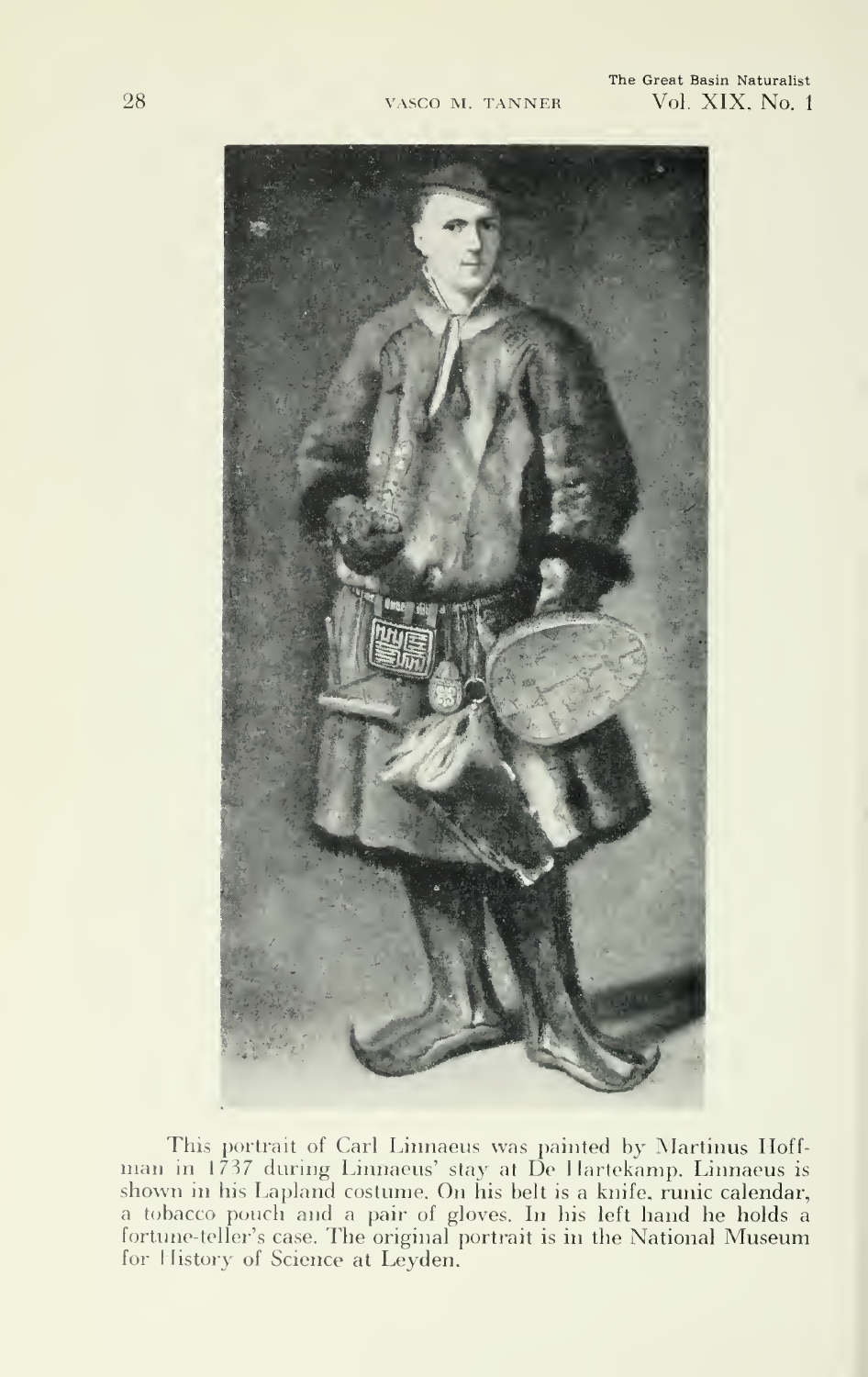

This portrait of Carl Linnaeus was painted by Martinus Hoffman in 1737 during Linnaeus' stay at De llartekamp. Linnaeus is shown in his Lapland costume. On his belt is <sup>a</sup> knife, runic calendar, <sup>a</sup> tobacco pouch and a pair of gloves. In his left hand he holds a fortune-teller's case. The original portrait is in the National Museum for History of Science at Leyden.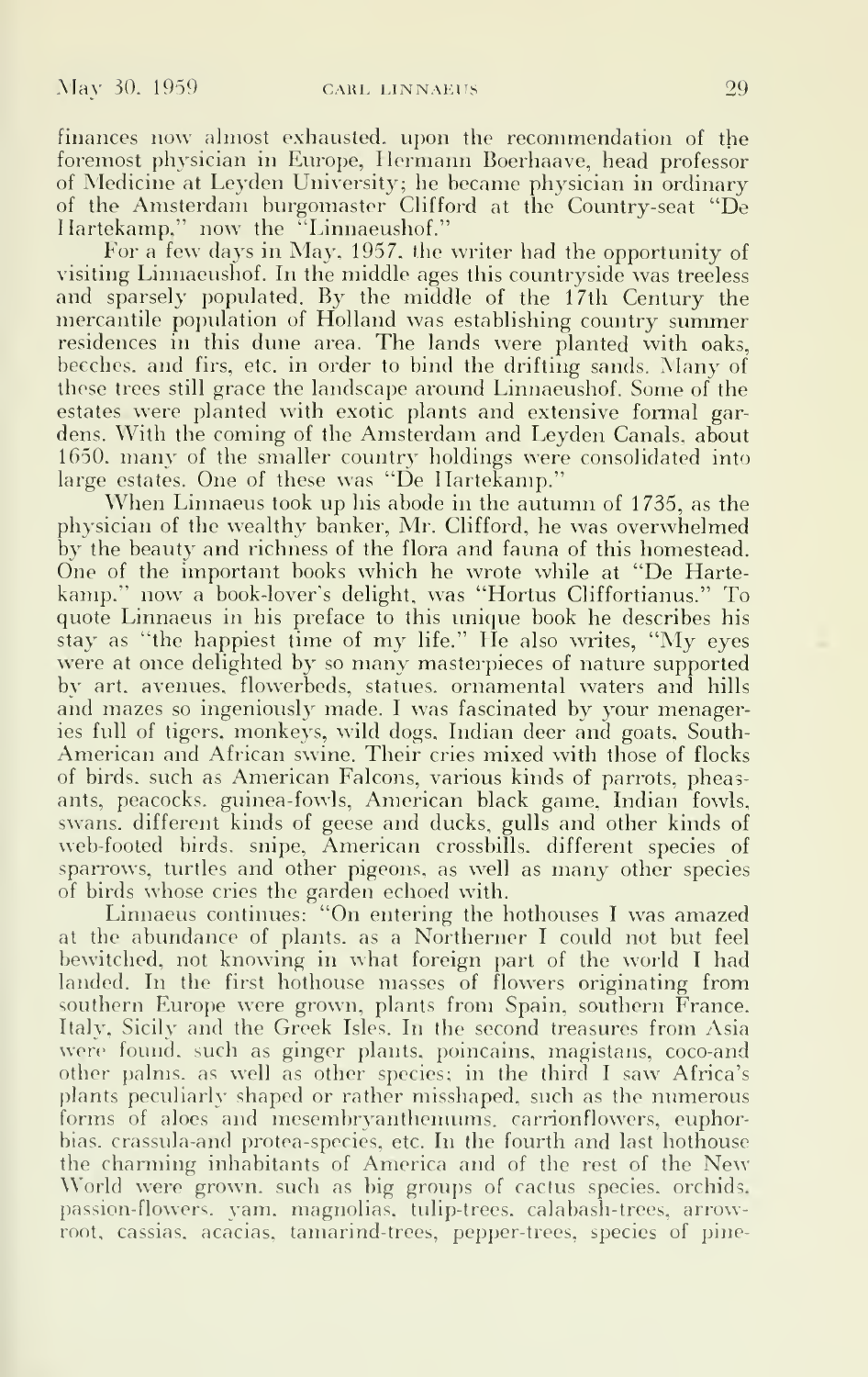finances now almost exhausted, upon the recommendation of the foremost physician in Europe, Hermann Boerhaave, head professor of Medicine at Leyden University; he became physician in ordinary of the Amsterdam burgomaster Clifford at the Country-seat "De Hartekamp," now the "Linnaeushof."

For <sup>a</sup> few days in May, 1957. the writer had the opportunity of visiting Linnaeushof. In the middle ages this countryside was treeless and sparsely populated. By the middle of the 17th Century the mercantile population of Holland was establishing country summer residences in this dune area. The lands were planted with oaks, beeches, and firs, etc. in order to bind the drifting sands. Many of these trees still grace the landscape around Linnaeushof. Some of the estates were planted with exotic plants and extensive formal gar dens. With the coming of the Amsterdam and Leyden Canals, about 1650. many of the smaller country holdings were consolidated into large estates. One of these was "De llartekamp."

When Linnaeus took up his abode in the autumn of 1735, as the physician of the wealthy banker, Mr. Clifford, he was overwhelmed by the beauty and richness of the flora and fauna of this homestead. One of the important books which he wrote while at "De Harte kamp." now <sup>a</sup> book-lover's delight, was "Hortus Cliffortianus." To quote Linnaeus in his preface to this unique book he describes his stay as "the happiest time of my life." He also writes, "My eyes were at once delighted by so many masterpieces of nature supported by art, avenues, flowerbeds, statues, ornamental waters and hills and mazes so ingeniously made. <sup>I</sup> was fascinated by your menageries full of tigers, monkeys, wild dogs. Indian deer and goats, South-American and African swine. Their cries mixed with those of flocks of birds, such as American Falcons, various kinds of parrots, pheasants, peacocks, guinea-fowls, American black game, Indian fowls, swans, different kinds of geese and ducks, gulls and other kinds of web-footed birds, snipe, American crossbills, different species of sparrows, turtles and other pigeons, as well as many other species of birds whose cries the garden echoed with.

Linnaeus continues: "On entering the hothouses <sup>I</sup> was amazed at the abundance of plants, as a Northerner <sup>I</sup> could not but feel bewitched, not knowing in what foreign part of the world <sup>I</sup> had landed. In the first hothouse masses of flowers originating from southern Europe were grown, plants from Spain, southern France, Italy, Sicily and the Greek Isles. In the second treasures from Asia wore found, such as ginger plants, poincains, magistans, coco-and other palms, as well as other species; in the third I saw Africa's plants peculiarly shaped or rather misshaped, such as the numerous forms of aloes and mesembryanthemums. carrionflowers, euphorbias, crassula-and protea-species, etc. In the fourth and last hothouse the charming inhabitants of America and of the rest of the New World were grown, such as big groups of cactus species, orchids, passion-flowers, yam. magnolias, tulip-trees, calabash-trees, arrowroot, cassias, acacias, tamarind-trees, pepper-trees, species of pine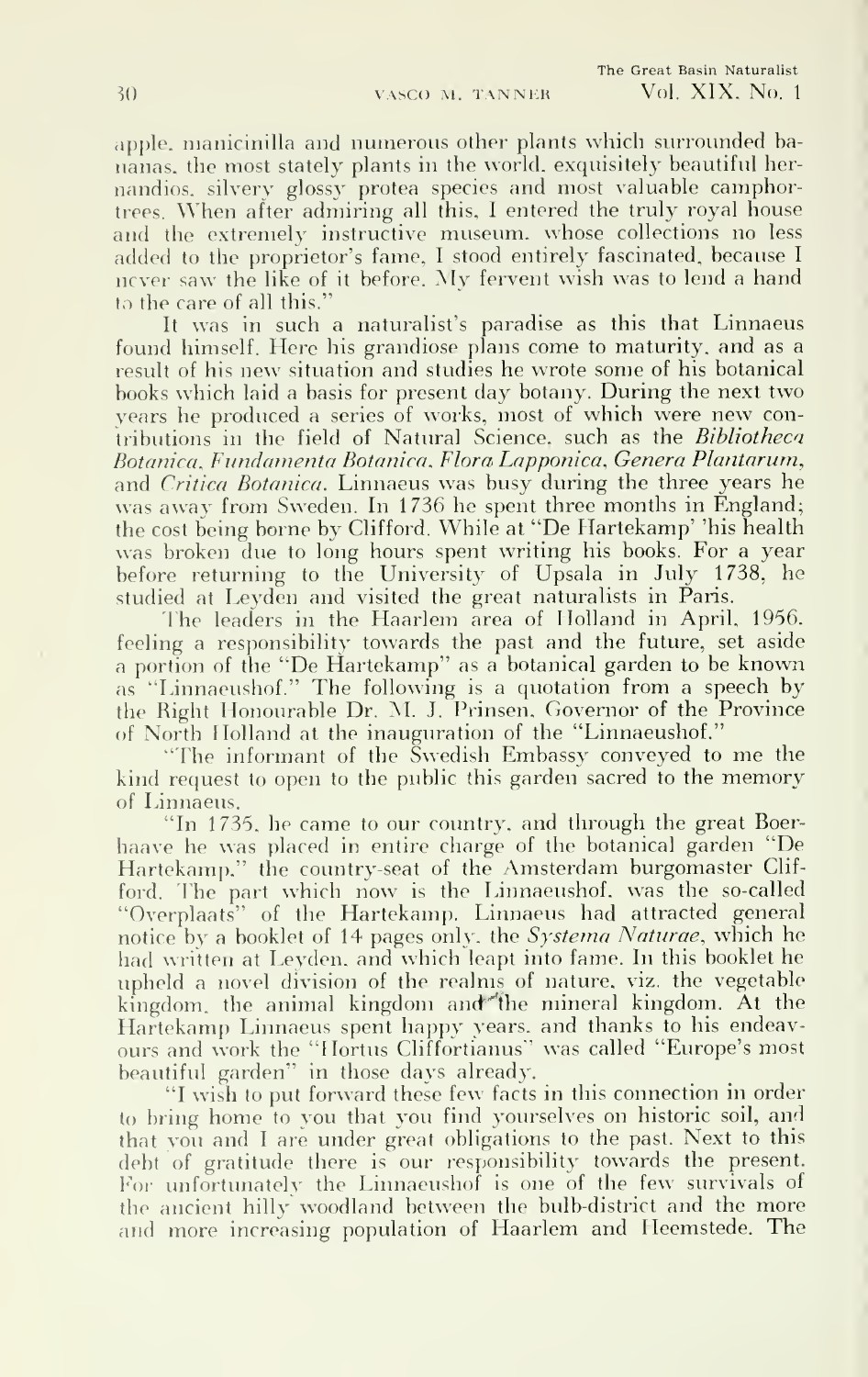apple, nianicinilla and numerous other plants which surrounded ba nanas, the most stately plants in the world, exquisitely beautiful her nandios. silvery glossy protea species and most valuable camphortrees. When after admiring all this. <sup>I</sup> entered the truly royal house and the extremely instructive museum, whose collections no less added to the proprietor's fame, I stood entirely fascinated, because I never saw the like of it before. My fervent wish was to lend a hand to the care of all this."

It was in such a naturalist's paradise as this that Linnaeus found himself. Here his grandiose plans come to maturity, and as a result of his new situation and studies he wrote some of his botanical books which laid a basis for present day botany. During the next two years he produced <sup>a</sup> series of works, most of which were new contributions in the field of Natural Science, such as the Bibliotheca Botanica, Fundamenta Botanica, Flora Lapponica, Genera Plantarum, and Critica Botanica. Linnaeus was busy during the three years he was away from Sweden. In 1736 he spent three months in England; the cost being borne by Clifford. While at "De Hartekamp' 'his health was broken due to long hours spent writing his books. For a year before returning to the University of Upsala in July 1738, he studied at Leyden and visited the great naturalists in Paris.

The leaders in the Haarlem area of Holland in April, 1956. feeling a responsibility towards the past and the future, set aside <sup>a</sup> portion of the "De Hartekamp" as <sup>a</sup> botanical garden to be known as "Linnaeushof." The following is a quotation from a speech by the Right Honourable Dr. M. J. Prinsen, Governor of the Province of North Holland at the inauguration of the "Linnaeushof."

"The informant of the Swedish Embassy conveyed to me the kind request to open to the public this garden sacred to the memory of Linnaeus.

"In 1735, he came to our country, and through the great Boer haave he was placed in entire charge of the botanical garden "De Hartekamp," the country-seat of the Amsterdam burgomaster Clif ford. The part which now is the Linnaeushof, was the so-called "Overplaats" of the Hartekamp. Linnaeus had attracted general notice by a booklet of 14 pages only, the *Systema Naturae*, which he had written at Leyden, and which leapt into fame. In this booklet he upheld a novel division of the realms of nature, viz. the vegetable kingdom, the animal kingdom and^'^he mineral kingdom. At the Hartekamp Linnaeus spent happy years, and thanks to his endeavours and work the "Hortus Cliffortianus" was called "Europe's most beautiful garden" in those days already.

"I wish to put forward these few facts in this connection in order to bring home to you that you find yourselves on historic soil, and that you and <sup>I</sup>are under great obligations to the past. Next to this debt of gratitude there is our responsibility towards the present. For unfortunately the Linnaeushof is one of the few survivals of the ancient hilly woodland between the bulb-district and the more and more increasing population of Haarlem and Heemstede. The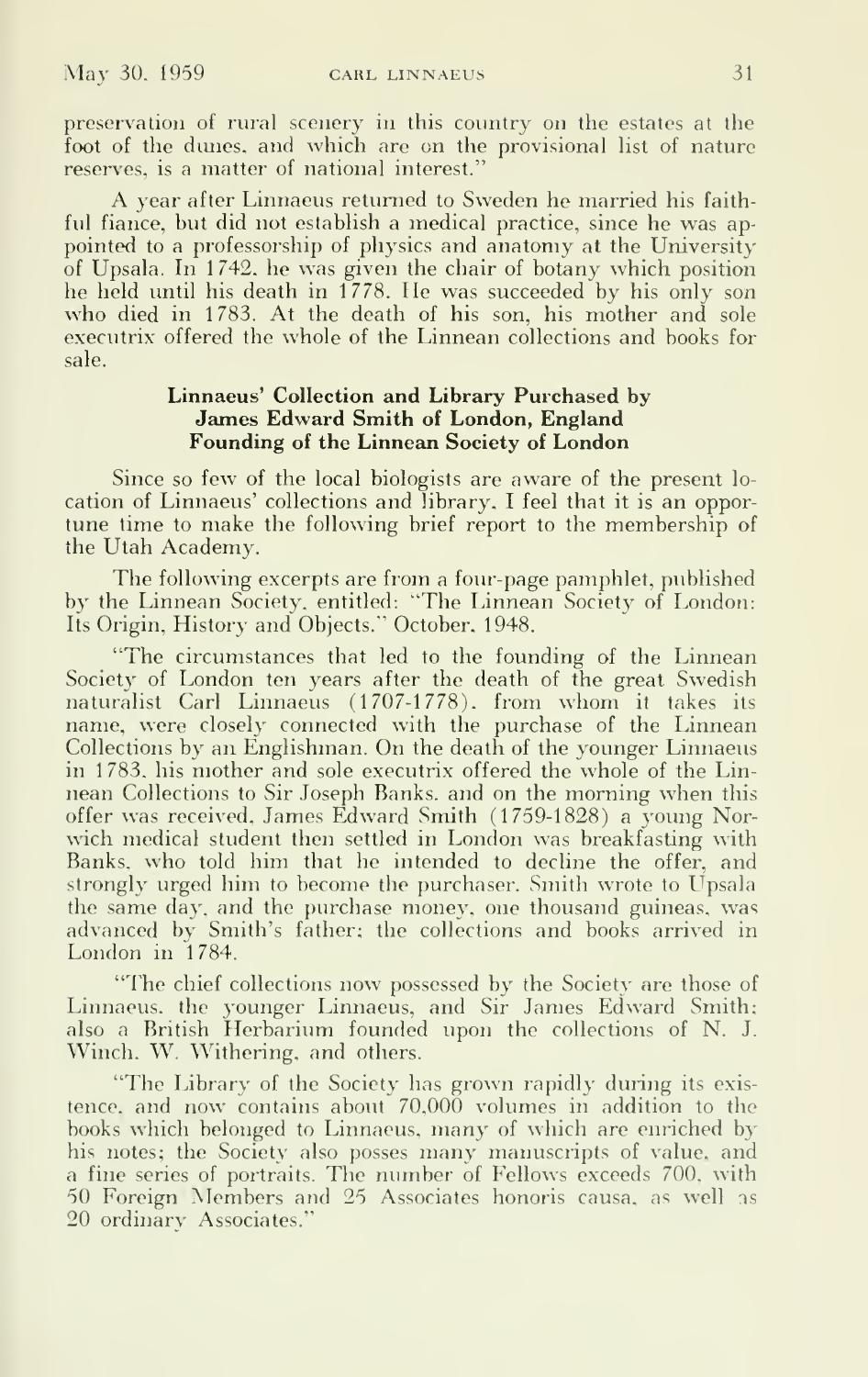preservation of rural scenery in this country on the estates at the foot of the dunes, and which are on the provisional list of nature reserves, is a matter of national interest."

A year after Linnaeus returned to Sweden he married his faith ful fiance, but did not establish a medical practice, since he was ap pointed to a professorship of physics and anatomy at the University of Upsala. In <sup>1</sup> 742, he was given the chair of botany which position he held until his death in 1778. lie was succeeded by his only son who died in 1783. At the death of his son, his mother and sole executrix offered the whole of the Linnean collections and books for sale.

## Linnaeus' Collection and Library Purchased by James Edward Smith of London, England Founding of the Linnean Society of London

Since so few of the local biologists are aware of the present lo cation of Linnaeus' collections and library, <sup>I</sup> feel that it is an opportune time to make the following brief report to the membership of the Utah Academy.

The following excerpts are from a four-page pamphlet, published by the Linnean Society, entitled: "The Linnean Society of London: Its Origin, History and Objects." October, 1948.

"The circumstances that led to the founding of the Linnean Society of London ten years after the death of the great Swedish naturalist Carl Linnaeus (1707-1778). from whom it takes its name, were closely connected with the purchase of the Linnean Collections by an Englishman. On the death of the younger Linnaeus in 1783. his mother and sole executrix offered the whole of the Lin nean Collections to Sir Joseph Banks, and on the morning when this offer was received. James Edward Smith (1759-1828) a young Norwich medical student then settled in London was breakfasting with Banks, who told him that he intended to decline the offer, and strongly urged him to become the purchaser. Smith wrote to Upsala the same day, and the purchase money, one thousand guineas, was the advanced by Smith's father; the collections and books arrived in London in 1784.

"The chief collections now possessed by the Society are those of Linnaeus, the younger Linnaeus, and Sir James Edward Smith; also a British Herbarium founded upon the collections of N. J. Winch. W. Withering, and others.

"The Library of the Society has grown rapidly during its existence, and now contains about 70,000 volumes in addition to the books which belonged to Linnaeus, many of which are enriched by his notes; the Society also posses many manuscripts of value, and a fine series of portraits. The number of Fellows exceeds 700, with 50 Foreign Members and 25 Associates honoris causa, as well as 20 ordinary Associates."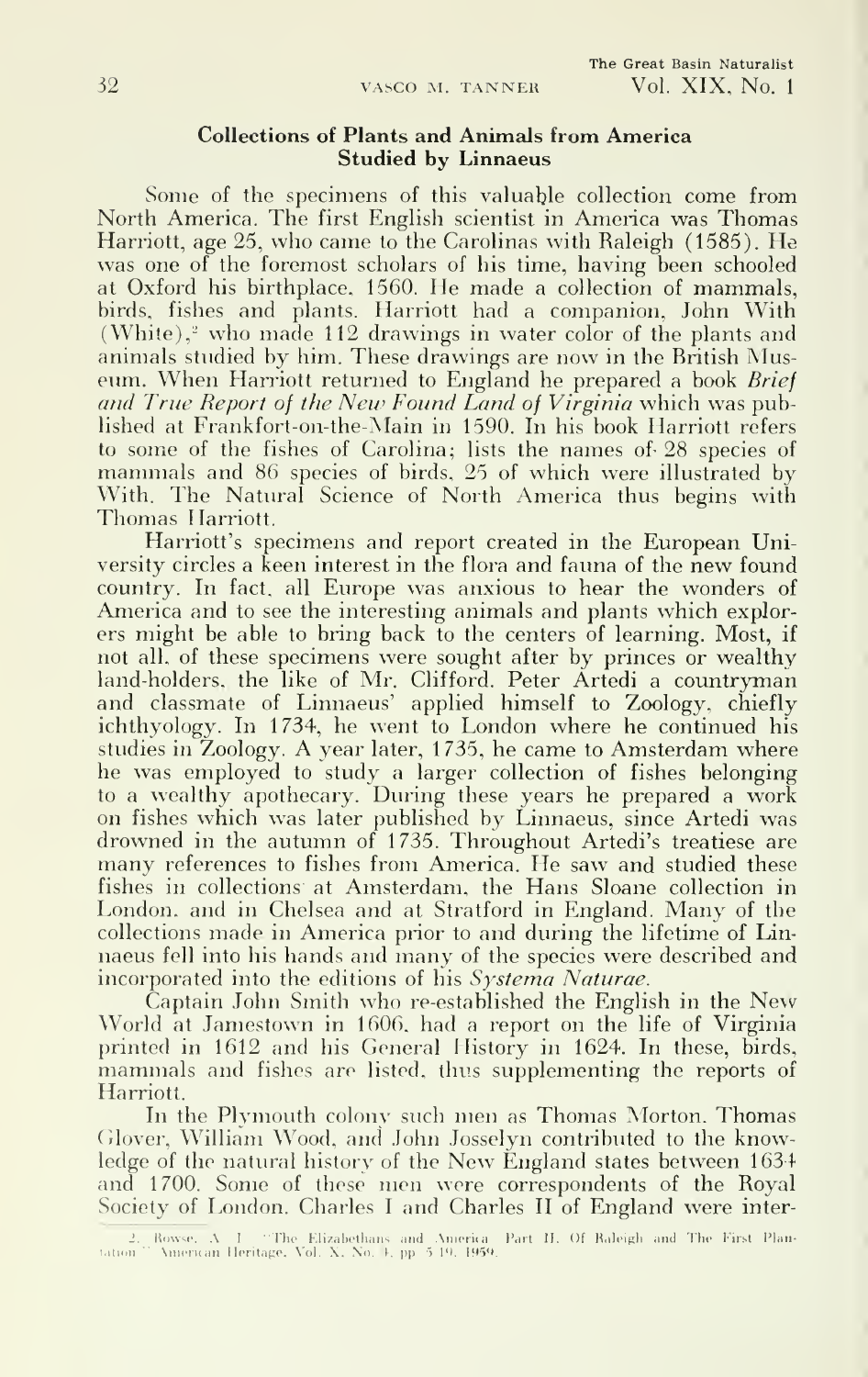## Collections of Plants and Animals from America Studied by Linnaeus

Some of the specimens of this valuable collection come from North America. The first English scientist in America was Thomas Harriott, age 25, who came to the Carolinas with Raleigh (1585). He was one of the foremost scholars of his time, having been schooled at Oxford his birthplace. 1560. He made <sup>a</sup> collection of mammals, birds, fishes and plants. Harriott had a companion, John With (White),<sup>2</sup> who made 112 drawings in water color of the plants and animals studied by him. These drawings are now in the British Museum. When Harriott returned to England he prepared <sup>a</sup> book Brief and True Report of the New Found Land of Virginia which was published at Frankfort-on-the-Main in 1590. In his book Harriott refers  $m$ ammals and 86 species of birds, 25 of which were illustrated by With. The Natural Science of North America thus begins with Thomas Harriott.

Harriott's specimens and report created in the European University circles <sup>a</sup> keen interest in the flora and fauna of the new found country. In fact, all Europe was anxious to hear the wonders of America and to see the interesting animals and plants which explorers might be able to bring back to the centers of learning. Most, if not all. of these specimens were sought after by princes or wealthy land-holders, the like of Mr. Clifford. Peter Artedi a countryman and classmate of Linnaeus' applied himself to Zoology, chiefly ichthyology. In <sup>1</sup>734, he went to London where he continued his studies in Zoology. A year later, 1735, he came to Amsterdam where he was employed to study a larger collection of fishes belonging to a wealthy apothecary. During these years he prepared a work on fishes which was later published by Linnaeus, since Artedi was drowned in the autumn of 1735. Throughout Artedi's treatiese are many references to fishes from America. He saw and studied these fishes in collections at Amsterdam, the Hans Sloane collection in London, and in Chelsea and at Stratford in England. Many of the collections made in America prior to and during the lifetime of Lin naeus fell into his hands and many of the species were described and incorporated into the editions of his Systema Naturae.

Captain John Smith who re-established the English in the New World at Jamestown in 1606, had a report on the life of Virginia printed in 1612 and his General History in 1624. In these, birds, mammals and fishes are listed, thus supplementing the reports of Harriott.

In the Plymouth colony such men as Thomas Morton. Thomas Glover, William Wood, and John Josselyn contributed to the knowledge of the natural history of the New England states between 1634 and 1700. Some of these men were correspondents of the Royal Society of London. Charles I and Charles II of England were inter-

<sup>2.</sup> Rowse. A, I., †The Elizabethans and America: Part II. Of Raleigh and The First Plan-<br>tation.'' American Heritage. Vol. X. No. 4. pp. 5-19. 1959.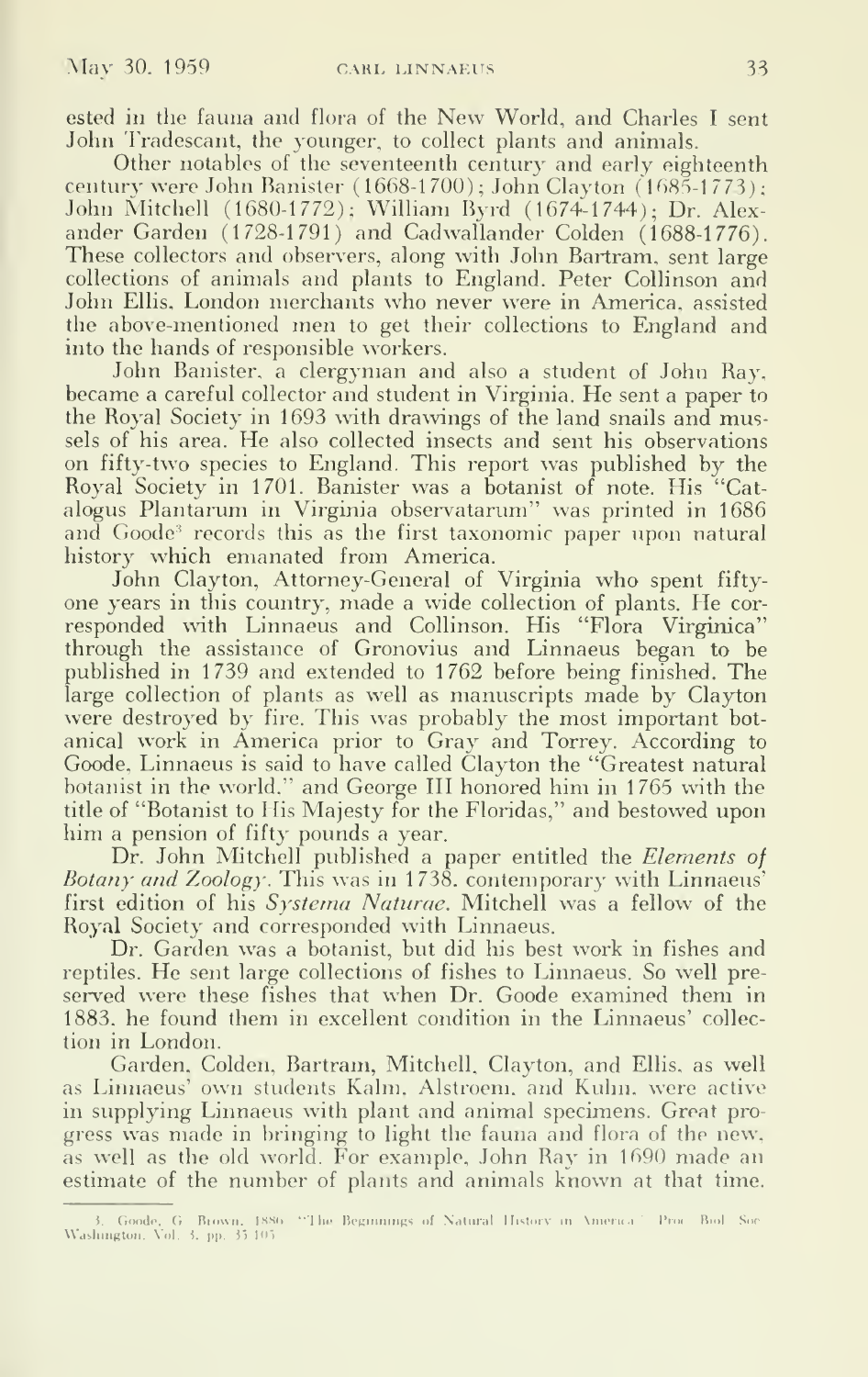ested in the fauna and flora of the New World, and Charles <sup>I</sup> sent John Tradescant, the younger, to collect plants and animals.

Other notables of the seventeenth century and early eighteenth century were John Banister (1668-1700); John Clayton  $(168\bar{5}$ -1773); John Mitchell (1680-1772); William Byrd (1674-1744); Dr. Alexander Garden (1728-1791) and Cadwaflander Golden (1688-1776). These collectors and observers, along with John Bartram, sent large collections of animals and plants to England. Peter Collinson and John Ellis, London merchants who never were in America, assisted the above-mentioned men to get their collections to England and into the hands of responsible workers.

John Banister, a clergyman and also a student of John Ray, became <sup>a</sup> careful collector and student in Virginia. He sent <sup>a</sup> paper to the Royal Society in 1693 with drawings of the land snails and mussels of his area. He also collected insects and sent his observations on fifty-two species to England. This report was published by the Royal Society in 1701. Banister was a botanist of note. His "Catalogus Plantarum in Virginia observatarum" was printed in 1686 and Goode<sup>3</sup> records this as the first taxonomic paper upon natural history which emanated from America.

John Clayton, Attorney-General of Virginia who spent fifty one years in this country, made a wide collection of plants. He cor responded with Linnaeus and Collinson. His "Flora Virginica" through the assistance of Gronovius and Linnaeus began to be published in 1739 and extended to 1762 before being finished. The large collection of plants as well as manuscripts made by Clayton were destroyed by fire. This was probably the most important bot anical work in America prior to Gray and Torrey. According to Goode, Linnaeus is said to have called Clayton the "Greatest natural botanist in the world," and George III honored him in 1765 with the title of "Botanist to His Majesty for the Floridas," and bestowed upon him <sup>a</sup> pension of fifty pounds a year.

Dr. John Mitchell published a paper entitled the Elements of Botany and Zoology. This was in 1738. contemporary with Linnaeus' first edition of his *Systema Naturae*. Mitchell was a fellow of the Royal Society and corresponded with Linnaeus.

Dr. Garden was a botanist, but did his best work in fishes and reptiles. He sent large collections of fishes to Linnaeus. So well pre served were these fishes that when Dr. Goode examined them in 1883. he found them in excellent condition in the Linnaeus' collec tion in London.

Garden, Colden, Bartram, Mitchell, Clayton, and Ellis, as well as Linnaeus' own students Kalni, Alstroem, and Kuhn, were active in supplying Linnaeus with plant and animal specimens. Great progress was made in bringing to light the fauna and flora of the new, as well as the old world. For example. John Ray in 1690 made an estimate of the number of plants and animals known at that time.

<sup>3.</sup> Goode. G. Brown. 1886. ''The Beginnings of Natural History in America'. Proc. Biol. Soc. .<br>Washington, Vol. 3. pp. 35-105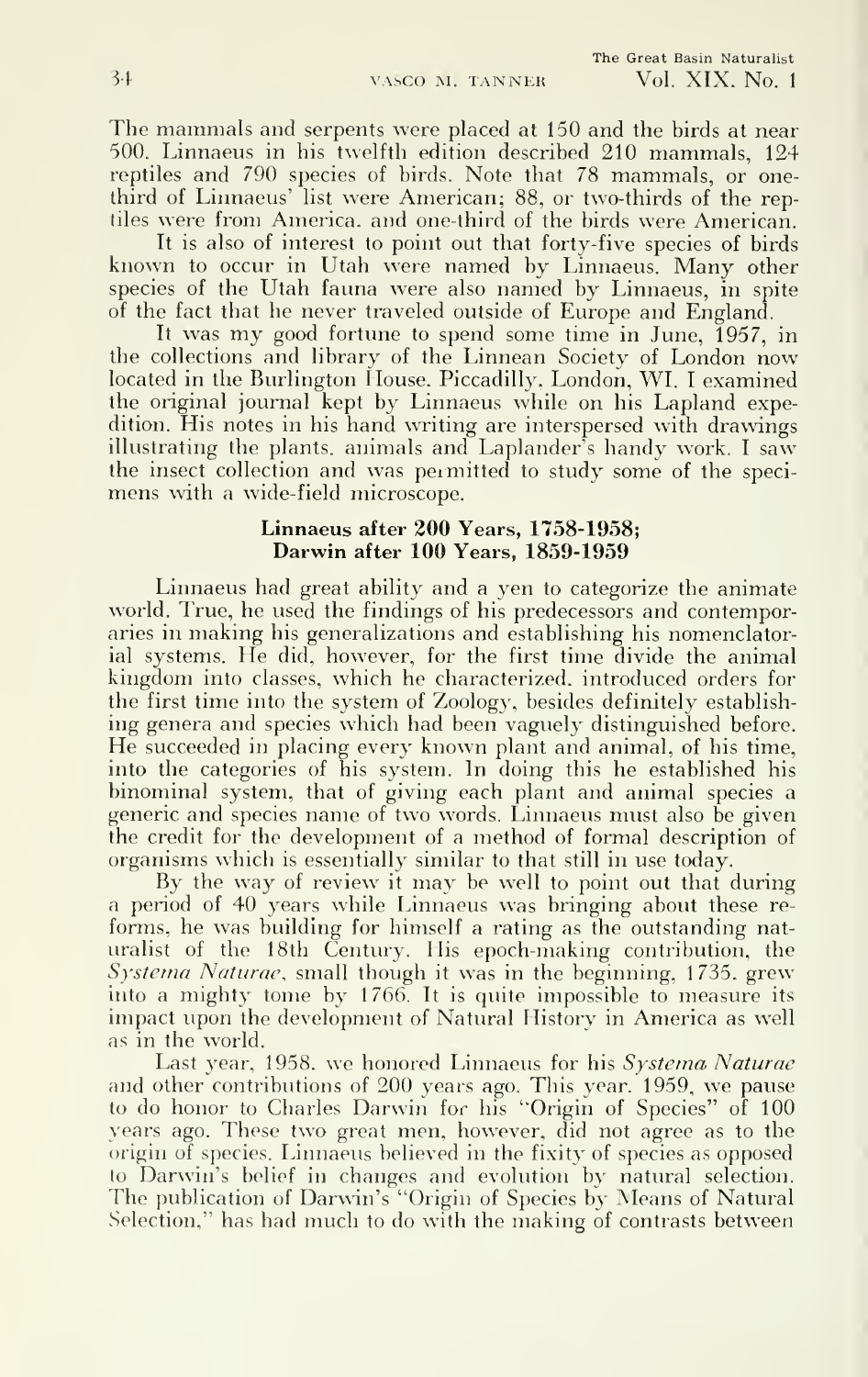The mammals and serpents were placed at 150 and the birds at near 500. Linnaeus in his twelfth edition described 210 mammals, 124 reptiles and 790 species of birds. Note that 78 mammals, or onethird of Linnaeus' list were American; 88, or two-thirds of the reptiles were from America, and one-third of the birds were American.

It is also of interest to point out that forty-five species of birds known to occur in Utah were named by Linnaeus. Many other species of the Utah fauna were also named by Linnaeus, in spite of the fact that he never traveled outside of Europe and England.

It was my good fortune to spend some time in June, 1957, in the collections and library of the Linnean Society of London now located in the Burlington House. Piccadilly. London, WI. <sup>I</sup> examined the original journal kept by Linnaeus while on his Lapland expedition. His notes in his hand writing are interspersed with drawings illustrating the plants, animals and Laplander's handy work. <sup>I</sup> saw the insect collection and was permitted to study some of the speci mens with a wide-field microscope.

## Linnaeus after 200 Years, 1758-1958; Darwin after 100 Years, 1859-1959

Linnaeus had great ability and a yen to categorize the animate world. True, he used the findings of his predecessors and contemporaries in making his generalizations and establishing his nomenclatorial systems. He did, however, for the first time divide the animal kingdom into classes, which he characterized, introduced orders for the first time into the system of Zoology, besides definitely establish ing genera and species which had been vaguely distinguished before. He succeeded in placing every known plant and animal, of his time, into the categories of his system. In doing this he established his binominal system, that of giving each plant and animal species a generic and species name of two words. Linnaeus must also be given the credit for the development of a method of formal description of organisms which is essentially similar to that still in use today.

By the way of review it may be well to point out that during a period of 40 years while Linnaeus was bringing about these re forms, he was building for himself a rating as the outstanding naturalist of the 18th Century. His epoch-making contribution, the Systema Naturae, small though it was in the beginning, 1735, grew into a mighty tome by 1766. It is quite impossible to measure its impact upon the development of Natural History in America as well as in the world.

Last year, 1958. we honored Linnaeus for his Systema Naturae and other contributions of 200 years ago. This year. 1959, we pause to do honor to Charles Darwin for his "Origin of Species" of 100 years ago. These two great men, however, did not agree as to the origin of species. Linnaeus believed in the fixity of species as opposed to Darwin's belief in changes and evolution by natural selection. The publication of Darwin's "Origin of Species by Means of Natural Selection," has had much to do with the making of contrasts between